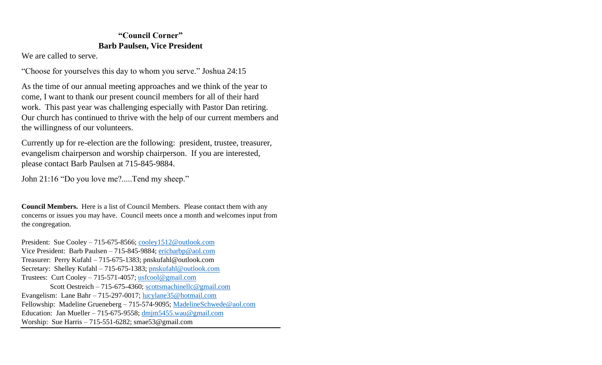# **"Council Corner" Barb Paulsen, Vice President**

We are called to serve.

"Choose for yourselves this day to whom you serve." Joshua 24:15

As the time of our annual meeting approaches and we think of the year to come, I want to thank our present council members for all of their hard work. This past year was challenging especially with Pastor Dan retiring. Our church has continued to thrive with the help of our current members and the willingness of our volunteers.

Currently up for re-election are the following: president, trustee, treasurer, evangelism chairperson and worship chairperson. If you are interested, please contact Barb Paulsen at 715-845-9884.

John 21:16 "Do you love me?.....Tend my sheep."

**Council Members.** Here is a list of Council Members. Please contact them with any concerns or issues you may have. Council meets once a month and welcomes input from the congregation.

President: Sue Cooley – 715-675-8566; [cooley1512@outlook.com](mailto:cooley1512@outlook.com) Vice President: Barb Paulsen – 715-845-9884; [ericbarbp@aol.com](mailto:ericbarbp@aol.com) Treasurer: Perry Kufahl – 715-675-1383; pnskufahl@outlook.com Secretary: Shelley Kufahl – 715-675-1383; [pnskufahl@outlook.com](mailto:pnskufahl@outlook.com) Trustees: Curt Cooley – 715-571-4057; [usfcool@gmail.com](mailto:usfcool@gmail.com) Scott Oestreich – 715-675-4360; [scottsmachinellc@gmail.com](mailto:scottsmachinellc@gmail.com) Evangelism: Lane Bahr – 715-297-0017; [lucylane35@hotmail.com](mailto:lucylane35@hotmail.com) Fellowship: Madeline Grueneberg – 715-574-9095; [MadelineSchwede@aol.com](mailto:MadelineSchwede@aol.com) Education: Jan Mueller – 715-675-9558; [dmjm5455.wau@gmail.com](mailto:dmjm5455.wau@gmail.com) Worship: Sue Harris – 715-551-6282; smae53@gmail.com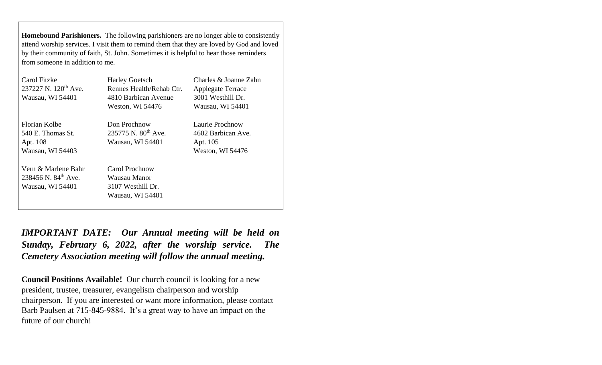**Homebound Parishioners.** The following parishioners are no longer able to consistently attend worship services. I visit them to remind them that they are loved by God and loved by their community of faith, St. John. Sometimes it is helpful to hear those reminders from someone in addition to me.

| Carol Fitzke                     | <b>Harley Goetsch</b>    | Charles & Joanne Zahn    |  |
|----------------------------------|--------------------------|--------------------------|--|
| 237227 N. 120 <sup>th</sup> Ave. | Rennes Health/Rehab Ctr. | <b>Applegate Terrace</b> |  |
| Wausau, WI 54401                 | 4810 Barbican Avenue     | 3001 Westhill Dr.        |  |
|                                  | Weston, WI 54476         | Wausau, WI 54401         |  |
| Florian Kolbe                    | Don Prochnow             | Laurie Prochnow          |  |
| 540 E. Thomas St.                | 235775 N. $80^{th}$ Ave. | 4602 Barbican Ave.       |  |
| Apt. 108                         | Wausau, WI 54401         | Apt. 105                 |  |
| Wausau, WI 54403                 |                          | Weston, WI 54476         |  |
| Vern & Marlene Bahr              | Carol Prochnow           |                          |  |
| 238456 N. $84^{th}$ Ave.         | Wausau Manor             |                          |  |
| Wausau, WI 54401                 | 3107 Westhill Dr.        |                          |  |
|                                  | Wausau, WI 54401         |                          |  |

*IMPORTANT DATE: Our Annual meeting will be held on Sunday, February 6, 2022, after the worship service. The Cemetery Association meeting will follow the annual meeting.*

**Council Positions Available!** Our church council is looking for a new president, trustee, treasurer, evangelism chairperson and worship chairperson. If you are interested or want more information, please contact Barb Paulsen at 715-845-9884. It's a great way to have an impact on the future of our church!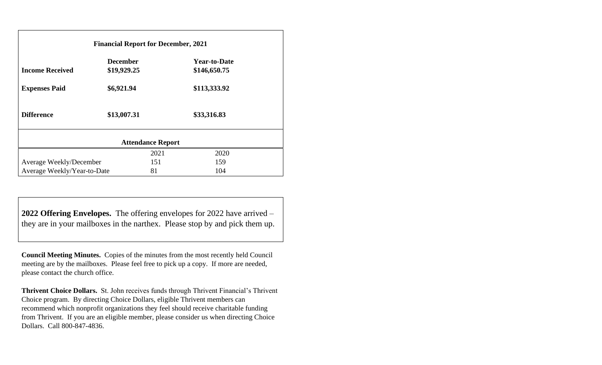| <b>Financial Report for December, 2021</b> |                 |      |                     |  |  |
|--------------------------------------------|-----------------|------|---------------------|--|--|
|                                            | <b>December</b> |      | <b>Year-to-Date</b> |  |  |
| <b>Income Received</b>                     | \$19,929.25     |      | \$146,650.75        |  |  |
| <b>Expenses Paid</b>                       | \$6,921.94      |      | \$113,333.92        |  |  |
| <b>Difference</b>                          | \$13,007.31     |      | \$33,316.83         |  |  |
| <b>Attendance Report</b>                   |                 |      |                     |  |  |
|                                            |                 | 2021 | 2020                |  |  |
| Average Weekly/December                    |                 | 151  | 159                 |  |  |
| Average Weekly/Year-to-Date                |                 | 81   | 104                 |  |  |

**2022 Offering Envelopes.** The offering envelopes for 2022 have arrived – they are in your mailboxes in the narthex. Please stop by and pick them up.

**Council Meeting Minutes.** Copies of the minutes from the most recently held Council meeting are by the mailboxes. Please feel free to pick up a copy. If more are needed, please contact the church office.

**Thrivent Choice Dollars.** St. John receives funds through Thrivent Financial's Thrivent Choice program. By directing Choice Dollars, eligible Thrivent members can recommend which nonprofit organizations they feel should receive charitable funding from Thrivent. If you are an eligible member, please consider us when directing Choice Dollars. Call 800-847-4836.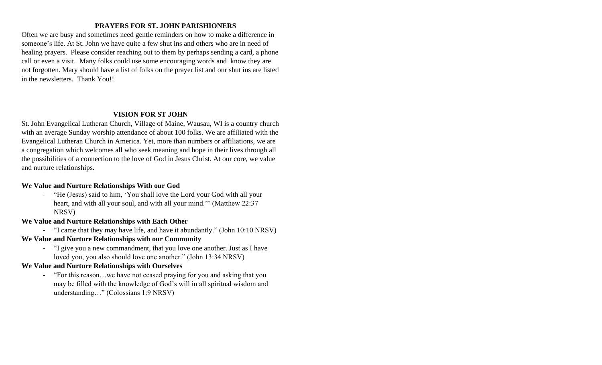## **PRAYERS FOR ST. JOHN PARISHIONERS**

Often we are busy and sometimes need gentle reminders on how to make a difference in someone's life. At St. John we have quite a few shut ins and others who are in need of healing prayers. Please consider reaching out to them by perhaps sending a card, a phone call or even a visit. Many folks could use some encouraging words and know they are not forgotten. Mary should have a list of folks on the prayer list and our shut ins are listed in the newsletters. Thank You!!

#### **VISION FOR ST JOHN**

St. John Evangelical Lutheran Church, Village of Maine, Wausau, WI is a country church with an average Sunday worship attendance of about 100 folks. We are affiliated with the Evangelical Lutheran Church in America. Yet, more than numbers or affiliations, we are a congregation which welcomes all who seek meaning and hope in their lives through all the possibilities of a connection to the love of God in Jesus Christ. At our core, we value and nurture relationships.

### **We Value and Nurture Relationships With our God**

- "He (Jesus) said to him, 'You shall love the Lord your God with all your heart, and with all your soul, and with all your mind.'" (Matthew 22:37 NRSV)
- **We Value and Nurture Relationships with Each Other** 
	- "I came that they may have life, and have it abundantly." (John 10:10 NRSV)
- **We Value and Nurture Relationships with our Community**
	- "I give you a new commandment, that you love one another. Just as I have loved you, you also should love one another." (John 13:34 NRSV)
- **We Value and Nurture Relationships with Ourselves**
	- "For this reason…we have not ceased praying for you and asking that you may be filled with the knowledge of God's will in all spiritual wisdom and understanding…" (Colossians 1:9 NRSV)